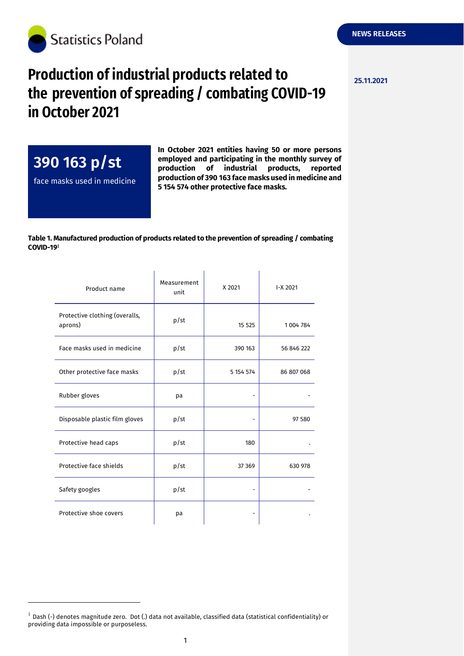

## **Production of industrial products related to**  $\frac{25.11.2021}{25.11.2021}$ **the prevention of spreading / combating COVID-19 in October 2021**

**390 163 p/st** face masks used in medicine

-

**In October 2021 entities having 50 or more persons employed and participating in the monthly survey of production of industrial products, reported production of 390 163 face masks used in medicine and 5 154 574 other protective face masks.**

## **Table 1. Manufactured production of products related to the prevention of spreading / combating COVID-19**

| Product name                              | Measurement<br>unit | X 2021    | I-X 2021   |
|-------------------------------------------|---------------------|-----------|------------|
| Protective clothing (overalls,<br>aprons) | p/st                | 15 5 25   | 1004784    |
| Face masks used in medicine               | p/st                | 390 163   | 56 846 222 |
| Other protective face masks               | p/st                | 5 154 574 | 86 807 068 |
| Rubber gloves                             | pa                  |           |            |
| Disposable plastic film gloves            | p/st                |           | 97 580     |
| Protective head caps                      | p/st                | 180       |            |
| Protective face shields                   | p/st                | 37 369    | 630 978    |
| Safety googles                            | p/st                |           |            |
| Protective shoe covers                    | рa                  |           |            |

 $<sup>1</sup>$  Dash (-) denotes magnitude zero. Dot (.) data not available, classified data (statistical confidentiality) or</sup> providing data impossible or purposeless.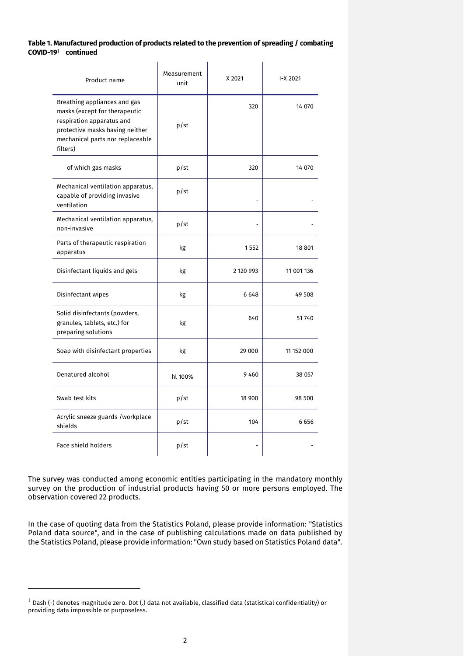## **Table 1. Manufactured production of products related to the prevention of spreading / combating COVID-19 continued**

| Product name                                                                                                                                                                  | Measurement<br>unit | X 2021    | I-X 2021   |
|-------------------------------------------------------------------------------------------------------------------------------------------------------------------------------|---------------------|-----------|------------|
| Breathing appliances and gas<br>masks (except for therapeutic<br>respiration apparatus and<br>protective masks having neither<br>mechanical parts nor replaceable<br>filters) | p/st                | 320       | 14 070     |
| of which gas masks                                                                                                                                                            | p/st                | 320       | 14 070     |
| Mechanical ventilation apparatus,<br>capable of providing invasive<br>ventilation                                                                                             | p/st                |           |            |
| Mechanical ventilation apparatus,<br>non-invasive                                                                                                                             | p/st                |           |            |
| Parts of therapeutic respiration<br>apparatus                                                                                                                                 | kg                  | 1552      | 18 801     |
| Disinfectant liquids and gels                                                                                                                                                 | kg                  | 2 120 993 | 11 001 136 |
| Disinfectant wipes                                                                                                                                                            | kg                  | 6648      | 49 508     |
| Solid disinfectants (powders,<br>granules, tablets, etc.) for<br>preparing solutions                                                                                          | kg                  | 640       | 51740      |
| Soap with disinfectant properties                                                                                                                                             | kg                  | 29 000    | 11 152 000 |
| Denatured alcohol                                                                                                                                                             | hl 100%             | 9460      | 38 057     |
| Swab test kits                                                                                                                                                                | p/st                | 18 900    | 98 500     |
| Acrylic sneeze guards /workplace<br>shields                                                                                                                                   | p/st                | 104       | 6656       |
| <b>Face shield holders</b>                                                                                                                                                    | p/st                |           |            |

The survey was conducted among economic entities participating in the mandatory monthly survey on the production of industrial products having 50 or more persons employed. The observation covered 22 products.

In the case of quoting data from the Statistics Poland, please provide information: "Statistics Poland data source", and in the case of publishing calculations made on data published by the Statistics Poland, please provide information: "Own study based on Statistics Poland data".

-

 $^{-1}$  Dash (-) denotes magnitude zero. Dot (.) data not available, classified data (statistical confidentiality) or providing data impossible or purposeless.